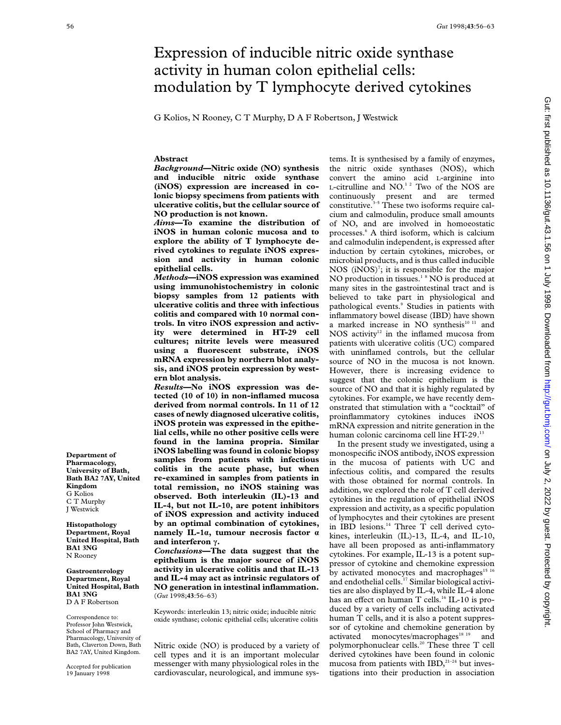# Expression of inducible nitric oxide synthase activity in human colon epithelial cells: modulation by T lymphocyte derived cytokines

G Kolios, N Rooney, C T Murphy, D A F Robertson, J Westwick

# **Abstract**

*Background***—Nitric oxide (NO) synthesis and inducible nitric oxide synthase (iNOS) expression are increased in colonic biopsy specimens from patients with ulcerative colitis, but the cellular source of NO production is not known.**

*Aims***—To examine the distribution of iNOS in human colonic mucosa and to explore the ability of T lymphocyte derived cytokines to regulate iNOS expression and activity in human colonic epithelial cells.**

*Methods***—iNOS expression was examined using immunohistochemistry in colonic biopsy samples from 12 patients with ulcerative colitis and three with infectious colitis and compared with 10 normal controls. In vitro iNOS expression and activity were determined in HT-29 cell cultures; nitrite levels were measured using a fluorescent substrate, iNOS mRNA expression by northern blot analysis, and iNOS protein expression by western blot analysis.**

*Results***—No iNOS expression was detected (10 of 10) in non-inflamed mucosa derived from normal controls. In 11 of 12 cases of newly diagnosed ulcerative colitis, iNOS protein was expressed in the epithelial cells, while no other positive cells were found in the lamina propria. Similar iNOS labelling was found in colonic biopsy samples from patients with infectious colitis in the acute phase, but when re-examined in samples from patients in total remission, no iNOS staining was observed. Both interleukin (IL)-13 and IL-4, but not IL-10, are potent inhibitors of iNOS expression and activity induced by an optimal combination of cytokines, namely IL-1á, tumour necrosis factor á and interferon ã.**

*Conclusions***—The data suggest that the epithelium is the major source of iNOS activity in ulcerative colitis and that IL-13 and IL-4 may act as intrinsic regulators of NO generation in intestinal inflammation.** (*Gut* 1998;**43**:56–63)

Keywords: interleukin 13; nitric oxide; inducible nitric oxide synthase; colonic epithelial cells; ulcerative colitis

Nitric oxide (NO) is produced by a variety of cell types and it is an important molecular messenger with many physiological roles in the cardiovascular, neurological, and immune sys-

tems. It is synthesised by a family of enzymes, the nitric oxide synthases (NOS), which convert the amino acid L-arginine into L-citrulline and  $NO.122}$  Two of the NOS are continuously present and are termed constitutive. $3-5$  These two isoforms require calcium and calmodulin, produce small amounts of NO, and are involved in homoeostatic processes.6 A third isoform, which is calcium and calmodulin independent, is expressed after induction by certain cytokines, microbes, or microbial products, and is thus called inducible NOS  $(iNOS)^7$ ; it is responsible for the major NO production in tissues. $1<sup>8</sup>$  NO is produced at many sites in the gastrointestinal tract and is believed to take part in physiological and pathological events.<sup>9</sup> Studies in patients with inflammatory bowel disease (IBD) have shown a marked increase in NO synthesis<sup>10 11</sup> and NOS activity $12$  in the inflamed mucosa from patients with ulcerative colitis (UC) compared with uninflamed controls, but the cellular source of NO in the mucosa is not known. However, there is increasing evidence to suggest that the colonic epithelium is the source of NO and that it is highly regulated by cytokines. For example, we have recently demonstrated that stimulation with a "cocktail" of proinflammatory cytokines induces iNOS mRNA expression and nitrite generation in the human colonic carcinoma cell line HT-29.<sup>13</sup>

In the present study we investigated, using a monospecific iNOS antibody, iNOS expression in the mucosa of patients with UC and infectious colitis, and compared the results with those obtained for normal controls. In addition, we explored the role of T cell derived cytokines in the regulation of epithelial iNOS expression and activity, as a specific population of lymphocytes and their cytokines are present in IBD lesions.<sup>14</sup> Three T cell derived cytokines, interleukin (IL)-13, IL-4, and IL-10, have all been proposed as anti-inflammatory cytokines. For example, IL-13 is a potent suppressor of cytokine and chemokine expression by activated monocytes and macrophages<sup>15 16</sup> and endothelial cells.17 Similar biological activities are also displayed by IL-4, while IL-4 alone has an effect on human T cells.<sup>16</sup> IL-10 is produced by a variety of cells including activated human T cells, and it is also a potent suppressor of cytokine and chemokine generation by activated monocytes/macrophages<sup>18 19</sup> and polymorphonuclear cells.<sup>20</sup> These three T cell derived cytokines have been found in colonic mucosa from patients with  $IBD$ ,<sup>21-24</sup> but investigations into their production in association

**Department of Pharmacology, University of Bath, Bath BA2 7AY, United Kingdom** G Kolios C T Murphy J Westwick

**Histopathology Department, Royal United Hospital, Bath BA1 3NG** N Rooney

**Gastroenterology Department, Royal United Hospital, Bath BA1 3NG** D A F Robertson

Correspondence to: Professor John Westwick, School of Pharmacy and Pharmacology, University of Bath, Claverton Down, Bath BA2 7AY, United Kingdom.

Accepted for publication 19 January 1998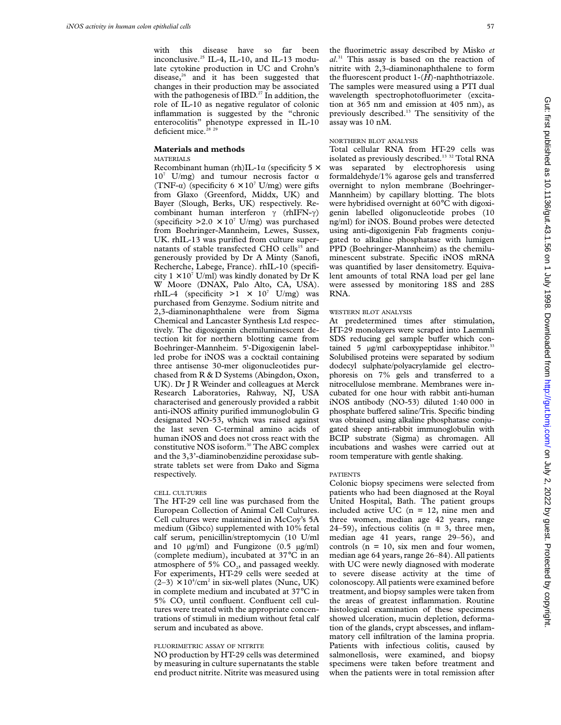with this disease have so far been inconclusive.<sup>25</sup> IL-4, IL-10, and IL-13 modulate cytokine production in UC and Crohn's disease, $26$  and it has been suggested that changes in their production may be associated with the pathogenesis of IBD.<sup>27</sup> In addition, the role of IL-10 as negative regulator of colonic inflammation is suggested by the "chronic enterocolitis" phenotype expressed in IL-10 deficient mice.<sup>2</sup>

# **Materials and methods**

# MATERIALS

Recombinant human (rh)IL-1 $\alpha$  (specificity 5  $\times$  $10^7$  U/mg) and tumour necrosis factor  $\alpha$ (TNF- $\alpha$ ) (specificity 6 × 10<sup>7</sup> U/mg) were gifts from Glaxo (Greenford, Middx, UK) and Bayer (Slough, Berks, UK) respectively. Recombinant human interferon  $\gamma$  (rhIFN- $\gamma$ ) (specificity  $>2.0 \times 10^7$  U/mg) was purchased from Boehringer-Mannheim, Lewes, Sussex, UK. rhIL-13 was purified from culture supernatants of stable transfected CHO cells<sup>15</sup> and generously provided by Dr A Minty (Sanofi, Recherche, Labege, France). rhIL-10 (specificity  $1 \times 10^7$  U/ml) was kindly donated by Dr K W Moore (DNAX, Palo Alto, CA, USA). rhIL-4 (specificity  $>1 \times 10^7$  U/mg) was purchased from Genzyme. Sodium nitrite and 2,3-diaminonaphthalene were from Sigma Chemical and Lancaster Synthesis Ltd respectively. The digoxigenin chemiluminescent detection kit for northern blotting came from Boehringer-Mannheim. 5'-Digoxigenin labelled probe for iNOS was a cocktail containing three antisense 30-mer oligonucleotides purchased fromR&D Systems (Abingdon, Oxon, UK). Dr J R Weinder and colleagues at Merck Research Laboratories, Rahway, NJ, USA characterised and generously provided a rabbit anti-iNOS affinity purified immunoglobulin G designated NO-53, which was raised against the last seven C-terminal amino acids of human iNOS and does not cross react with the constitutive NOS isoform.<sup>30</sup> The ABC complex and the 3,3'-diaminobenzidine peroxidase substrate tablets set were from Dako and Sigma respectively.

# CELL CULTURES

The HT-29 cell line was purchased from the European Collection of Animal Cell Cultures. Cell cultures were maintained in McCoy's 5A medium (Gibco) supplemented with 10% fetal calf serum, penicillin/streptomycin (10 U/ml and 10  $\mu$ g/ml) and Fungizone (0.5  $\mu$ g/ml) (complete medium), incubated at 37°C in an atmosphere of 5%  $CO<sub>2</sub>$ , and passaged weekly. For experiments, HT-29 cells were seeded at  $(2-3) \times 10^4$ /cm<sup>2</sup> in six-well plates (Nunc, UK) in complete medium and incubated at 37°C in 5% CO, until confluent. Confluent cell cultures were treated with the appropriate concentrations of stimuli in medium without fetal calf serum and incubated as above.

# FLUORIMETRIC ASSAY OF NITRITE

NO production by HT-29 cells was determined by measuring in culture supernatants the stable end product nitrite. Nitrite was measured using the fluorimetric assay described by Misko *et al*. <sup>31</sup> This assay is based on the reaction of nitrite with 2,3-diaminonaphthalene to form the fluorescent product 1-(*H*)-naphthotriazole. The samples were measured using a PTI dual wavelength spectrophotofluorimeter (excitation at 365 nm and emission at 405 nm), as previously described.13 The sensitivity of the assay was 10 nM.

# NORTHERN BLOT ANALYSIS

Total cellular RNA from HT-29 cells was isolated as previously described.<sup>13 32</sup> Total RNA was separated by electrophoresis using formaldehyde/1% agarose gels and transferred overnight to nylon membrane (Boehringer-Mannheim) by capillary blotting. The blots were hybridised overnight at 60°C with digoxigenin labelled oligonucleotide probes (10 ng/ml) for iNOS. Bound probes were detected using anti-digoxigenin Fab fragments conjugated to alkaline phosphatase with lumigen PPD (Boehringer-Mannheim) as the chemiluminescent substrate. Specific iNOS mRNA was quantified by laser densitometry. Equivalent amounts of total RNA load per gel lane were assessed by monitoring 18S and 28S RNA.

# WESTERN BLOT ANALYSIS

At predetermined times after stimulation, HT-29 monolayers were scraped into Laemmli SDS reducing gel sample buffer which contained 5  $\mu$ g/ml carboxypeptidase inhibitor.<sup>33</sup> Solubilised proteins were separated by sodium dodecyl sulphate/polyacrylamide gel electrophoresis on 7% gels and transferred to a nitrocellulose membrane. Membranes were incubated for one hour with rabbit anti-human iNOS antibody (NO-53) diluted 1:40 000 in phosphate buffered saline/Tris. Specific binding was obtained using alkaline phosphatase conjugated sheep anti-rabbit immunoglobulin with BCIP substrate (Sigma) as chromagen. All incubations and washes were carried out at room temperature with gentle shaking.

#### PATIENTS

Colonic biopsy specimens were selected from patients who had been diagnosed at the Royal United Hospital, Bath. The patient groups included active UC  $(n = 12, nine$  men and three women, median age 42 years, range 24–59), infectious colitis ( $n = 3$ , three men, median age 41 years, range 29–56), and controls  $(n = 10, six$  men and four women, median age 64 years, range 26–84). All patients with UC were newly diagnosed with moderate to severe disease activity at the time of colonoscopy. All patients were examined before treatment, and biopsy samples were taken from the areas of greatest inflammation. Routine histological examination of these specimens showed ulceration, mucin depletion, deformation of the glands, crypt abscesses, and inflammatory cell infiltration of the lamina propria. Patients with infectious colitis, caused by salmonellosis, were examined, and biopsy specimens were taken before treatment and when the patients were in total remission after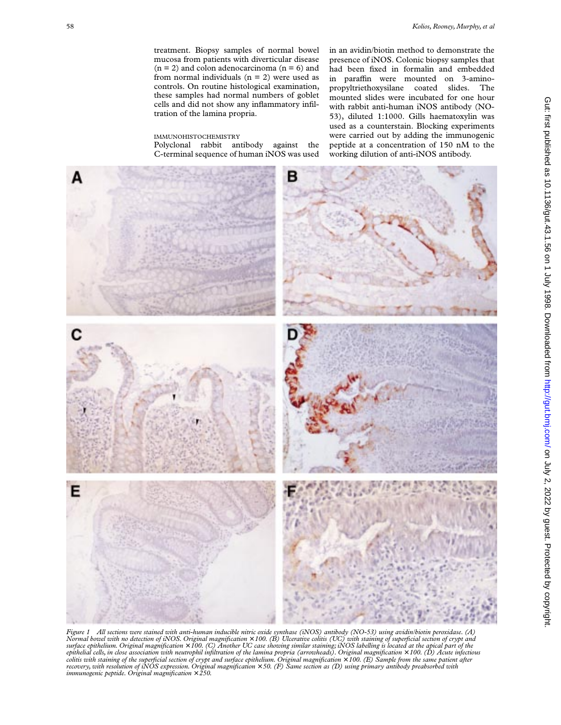treatment. Biopsy samples of normal bowel mucosa from patients with diverticular disease  $(n = 2)$  and colon adenocarcinoma  $(n = 6)$  and from normal individuals  $(n = 2)$  were used as controls. On routine histological examination, these samples had normal numbers of goblet cells and did not show any inflammatory infiltration of the lamina propria.

# IMMUNOHISTOCHEMISTRY

Polyclonal rabbit antibody against the C-terminal sequence of human iNOS was used in an avidin/biotin method to demonstrate the presence of iNOS. Colonic biopsy samples that had been fixed in formalin and embedded in paraffin were mounted on 3-aminopropyltriethoxysilane coated slides. The mounted slides were incubated for one hour with rabbit anti-human iNOS antibody (NO-53), diluted 1:1000. Gills haematoxylin was used as a counterstain. Blocking experiments were carried out by adding the immunogenic peptide at a concentration of 150 nM to the working dilution of anti-iNOS antibody.



*Figure 1 All sections were stained with anti-human inducible nitric oxide synthase (iNOS) antibody (NO-53) using avidin/biotin peroxidase. (A)* Normal bowel with no detection of iNOS. Original magnification × 100. (B) Ulcerative colitis (UC) with staining of superficial section of crypt and<br>surface epithelium. Original magnification × 100. (C) Another UC case show *epithelial cells, in close association with neutrophil infiltration of the lamina propria (arrowheads). Original magnification* × *100. (D) Acute infectious colitis with staining of the superficial section of crypt and surface epithelium. Original magnification*  $\times$  100. (E) Sample from the same patient after *recovery, with resolution of iNOS expression. Original magnification* × *50. (F) Same section as (D) using primary antibody preabsorbed with immunogenic peptide. Original magnification* × *250.*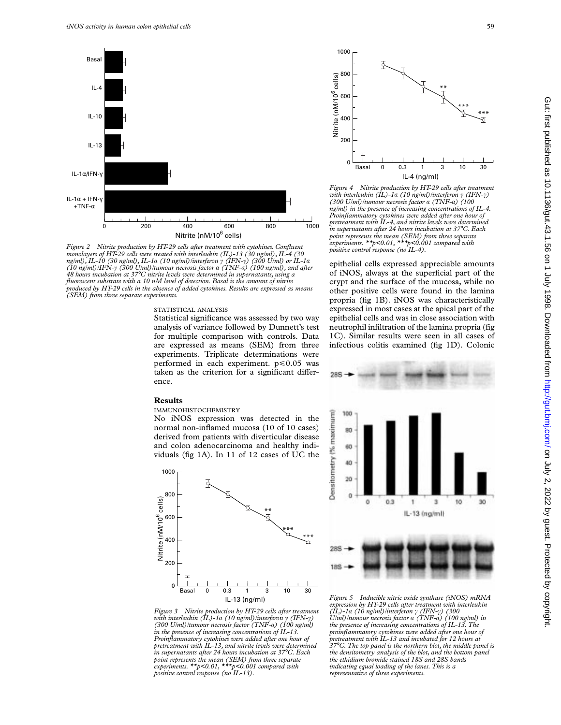

*Figure 2 Nitrite production by HT-29 cells after treatment with cytokines. Confluent monolayers of HT-29 cells were treated with interleukin (IL)-13 (30 ng/ml), IL-4 (30 ng/ml), IL-10 (30 ng/ml), IL-1á (10 ng/ml)/interferon ã (IFN-ã) (300 U/ml) or IL-1á (10 ng/ml)/IFN-ã (300 U/ml)/tumour necrosis factor á (TNF-á) (100 ng/ml), and after 48 hours incubation at 37*°*C nitrite levels were determined in supernatants, using a fluorescent substrate with a 10 nM level of detection. Basal is the amount of nitrite produced by HT-29 cells in the absence of added cytokines. Results are expressed as means (SEM) from three separate experiments.*

### STATISTICAL ANALYSIS

Statistical significance was assessed by two way analysis of variance followed by Dunnett's test for multiple comparison with controls. Data are expressed as means (SEM) from three experiments. Triplicate determinations were performed in each experiment.  $p \le 0.05$  was taken as the criterion for a significant difference.

#### **Results**

#### IMMUNOHISTOCHEMISTRY

No iNOS expression was detected in the normal non-inflamed mucosa (10 of 10 cases) derived from patients with diverticular disease and colon adenocarcinoma and healthy individuals (fig 1A). In 11 of 12 cases of UC the



*Figure 3 Nitrite production by HT-29 cells after treatment with interleukin (IL)-1á (10 ng/ml)/interferon ã (IFN-ã) (300 U/ml)/tumour necrosis factor (TNF-á) (100 ng/ml) in the presence of increasing concentrations of IL-13. Proinflammatory cytokines were added after one hour of pretreatment with IL-13, and nitrite levels were determined in supernatants after 24 hours incubation at 37*°*C. Each point represents the mean (SEM) from three separate experiments. \*\*p<0.01, \*\*\*p<0.001 compared with positive control response (no IL-13).*



*Figure 4 Nitrite production by HT-29 cells after treatment with interleukin (IL)-1á (10 ng/ml)/interferon ã (IFN-ã) (300 U/ml)/tumour necrosis factor á (TNF-á) (100 ng/ml) in the presence of increasing concentrations of IL-4. Proinflammatory cytokines were added after one hour of pretreatment with IL-4, and nitrite levels were determined in supernatants after 24 hours incubation at 37*°*C. Each point represents the mean (SEM) from three separate experiments. \*\*p<0.01, \*\*\*p<0.001 compared with positive control response (no IL-4).*

epithelial cells expressed appreciable amounts of iNOS, always at the superficial part of the crypt and the surface of the mucosa, while no other positive cells were found in the lamina propria (fig 1B). iNOS was characteristically expressed in most cases at the apical part of the epithelial cells and was in close association with neutrophil infiltration of the lamina propria (fig 1C). Similar results were seen in all cases of infectious colitis examined (fig 1D). Colonic



*Figure 5 Inducible nitric oxide synthase (iNOS) mRNA expression by HT-29 cells after treatment with interleukin (IL)-1á (10 ng/ml)/interferon ã (IFN-ã) (300 U/ml)/tumour necrosis factor á (TNF-á) (100 ng/ml) in the presence of increasing concentrations of IL-13. The proinflammatory cytokines were added after one hour of pretreatment with IL-13 and incubated for 12 hours at 37*°*C. The top panel is the northern blot, the middle panel is the densitometry analysis of the blot, and the bottom panel the ethidium bromide stained 18S and 28S bands indicating equal loading of the lanes. This is a representative of three experiments.*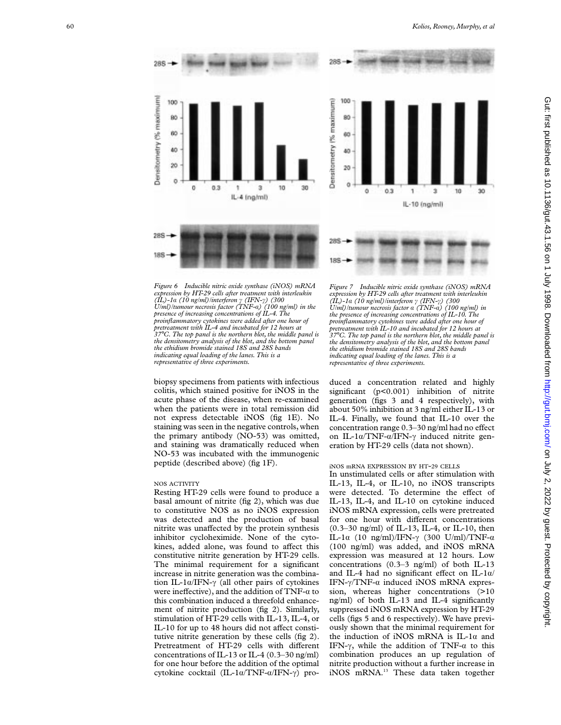285 Densitometry (% maximum) Densitometry I% maximum) 100 100 80 60 60 **AO** 40 20 20  $\theta$  $0.3$ 10 30  $\ddot{\text{o}}$ ö3 IL-4 (ng/ml) 285 289 188 188

*Figure 6 Inducible nitric oxide synthase (iNOS) mRNA expression by HT-29 cells after treatment with interleukin (IL)-1 á (10 ng/ml)/interferon ã (IFN-ã) (300 U/ml)/tumour necrosis factor (TNF-á) (100 ng/ml) in the presence of increasing concentrations of IL-4. The proinflammatory cytokines were added after one hour of pretreatment with IL-4 and incubated for 12 hours at 37*°*C. The top panel is the northern blot, the middle panel is the densitometry analysis of the blot, and the bottom panel the ethidium bromide stained 18S and 28S bands indicating equal loading of the lanes. This is a representative of three experiments.*

biopsy specimens from patients with infectious colitis, which stained positive for iNOS in the acute phase of the disease, when re-examined when the patients were in total remission did not express detectable iNOS (fig 1E). No staining was seen in the negative controls, when the primary antibody (NO-53) was omitted, and staining was dramatically reduced when NO-53 was incubated with the immunogenic peptide (described above) (fig 1F).

#### NOS ACTIVITY

Resting HT-29 cells were found to produce a basal amount of nitrite (fig 2), which was due to constitutive NOS as no iNOS expression was detected and the production of basal nitrite was unaffected by the protein synthesis inhibitor cycloheximide. None of the cytokines, added alone, was found to affect this constitutive nitrite generation by HT-29 cells. The minimal requirement for a significant increase in nitrite generation was the combination IL-1 $\alpha$ /IFN- $\gamma$  (all other pairs of cytokines were ineffective), and the addition of TNF- $\alpha$  to this combination induced a threefold enhancement of nitrite production (fig 2). Similarly, stimulation of HT-29 cells with IL-13, IL-4, or IL-10 for up to 48 hours did not affect constitutive nitrite generation by these cells (fig 2). Pretreatment of HT-29 cells with different concentrations of IL-13 or IL-4 (0.3–30 ng/ml) for one hour before the addition of the optimal cytokine cocktail (IL-1α/TNF-α/IFN-γ) pro-



IL-10 (ng/ml)

duced a concentration related and highly significant (p<0.001) inhibition of nitrite generation (figs 3 and 4 respectively), with about 50% inhibition at 3 ng/ml either IL-13 or IL-4. Finally, we found that IL-10 over the concentration range 0.3–30 ng/ml had no effect on IL-1 $\alpha$ /TNF- $\alpha$ /IFN- $\gamma$  induced nitrite generation by HT-29 cells (data not shown).

# iNOS mRNA EXPRESSION BY HT-29 CELLS

In unstimulated cells or after stimulation with IL-13, IL-4, or IL-10, no iNOS transcripts were detected. To determine the effect of IL-13, IL-4, and IL-10 on cytokine induced iNOS mRNA expression, cells were pretreated for one hour with different concentrations (0.3–30 ng/ml) of IL-13, IL-4, or IL-10, then IL-1 $\alpha$  (10 ng/ml)/IFN- $\gamma$  (300 U/ml)/TNF- $\alpha$ (100 ng/ml) was added, and iNOS mRNA expression was measured at 12 hours. Low concentrations (0.3–3 ng/ml) of both IL-13 and IL-4 had no significant effect on IL-1 $\alpha$ / IFN- $\gamma$ /TNF- $\alpha$  induced iNOS mRNA expression, whereas higher concentrations (>10) ng/ml) of both IL-13 and IL-4 significantly suppressed iNOS mRNA expression by HT-29 cells (figs 5 and 6 respectively). We have previously shown that the minimal requirement for the induction of iNOS mRNA is IL-1 $\alpha$  and IFN- $\gamma$ , while the addition of TNF- $\alpha$  to this combination produces an up regulation of nitrite production without a further increase in iNOS mRNA.<sup>13</sup> These data taken together

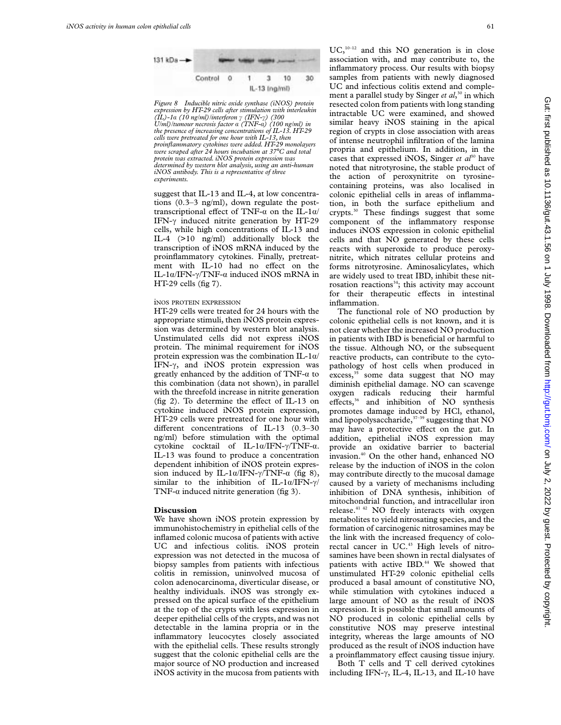

*Figure 8 Inducible nitric oxide synthase (iNOS) protein expression by HT-29 cells after stimulation with interleukin (IL)-1á (10 ng/ml)/interferon ã (IFN-ã) (300 U/ml)/tumour necrosis factor á (TNF-á) (100 ng/ml) in the presence of increasing concentrations of IL-13. HT-29 cells were pretreated for one hour with IL-13, then proinflammatory cytokines were added. HT-29 monolayers were scraped after 24 hours incubation at 37*°*C and total protein was extracted. iNOS protein expression was determined by western blot analysis, using an anti-human iNOS antibody. This is a representative of three experiments.*

suggest that IL-13 and IL-4, at low concentrations (0.3–3 ng/ml), down regulate the posttranscriptional effect of TNF- $\alpha$  on the IL-1 $\alpha$ / IFN- $\gamma$  induced nitrite generation by HT-29 cells, while high concentrations of IL-13 and IL-4 (>10 ng/ml) additionally block the transcription of iNOS mRNA induced by the proinflammatory cytokines. Finally, pretreatment with IL-10 had no effect on the IL-1 $\alpha$ /IFN- $\gamma$ /TNF- $\alpha$  induced iNOS mRNA in  $HT-29$  cells (fig 7).

# iNOS PROTEIN EXPRESSION

HT-29 cells were treated for 24 hours with the appropriate stimuli, then iNOS protein expression was determined by western blot analysis. Unstimulated cells did not express iNOS protein. The minimal requirement for iNOS protein expression was the combination IL-1 $\alpha$ / IFN- $\gamma$ , and iNOS protein expression was greatly enhanced by the addition of  $TNF-\alpha$  to this combination (data not shown), in parallel with the threefold increase in nitrite generation (fig 2). To determine the effect of IL-13 on cytokine induced iNOS protein expression, HT-29 cells were pretreated for one hour with different concentrations of IL-13  $(0.3-30)$ ng/ml) before stimulation with the optimal cytokine cocktail of IL-1 $\alpha$ /IFN- $\gamma$ /TNF- $\alpha$ . IL-13 was found to produce a concentration dependent inhibition of iNOS protein expression induced by IL-1 $\alpha$ /IFN- $\gamma$ /TNF- $\alpha$  (fig 8), similar to the inhibition of IL-1 $\alpha$ /IFN- $\gamma$ / TNF- $\alpha$  induced nitrite generation (fig 3).

# **Discussion**

We have shown iNOS protein expression by immunohistochemistry in epithelial cells of the inflamed colonic mucosa of patients with active UC and infectious colitis. iNOS protein expression was not detected in the mucosa of biopsy samples from patients with infectious colitis in remission, uninvolved mucosa of colon adenocarcinoma, diverticular disease, or healthy individuals. iNOS was strongly expressed on the apical surface of the epithelium at the top of the crypts with less expression in deeper epithelial cells of the crypts, and was not detectable in the lamina propria or in the inflammatory leucocytes closely associated with the epithelial cells. These results strongly suggest that the colonic epithelial cells are the major source of NO production and increased iNOS activity in the mucosa from patients with

 $UC<sub>10-12</sub>$  and this NO generation is in close association with, and may contribute to, the inflammatory process. Our results with biopsy samples from patients with newly diagnosed UC and infectious colitis extend and complement a parallel study by Singer *et al*, <sup>30</sup> in which resected colon from patients with long standing intractable UC were examined, and showed similar heavy iNOS staining in the apical region of crypts in close association with areas of intense neutrophil infiltration of the lamina propria and epithelium. In addition, in the cases that expressed iNOS, Singer *et al*<sup>30</sup> have noted that nitrotyrosine, the stable product of the action of peroxynitrite on tyrosinecontaining proteins, was also localised in colonic epithelial cells in areas of inflammation, in both the surface epithelium and crypts.30 These findings suggest that some component of the inflammatory response induces iNOS expression in colonic epithelial cells and that NO generated by these cells reacts with superoxide to produce peroxynitrite, which nitrates cellular proteins and forms nitrotyrosine. Aminosalicylates, which are widely used to treat IBD, inhibit these nitrosation reactions $34$ ; this activity may account for their therapeutic effects in intestinal inflammation.

The functional role of NO production by colonic epithelial cells is not known, and it is not clear whether the increased NO production in patients with IBD is beneficial or harmful to the tissue. Although NO, or the subsequent reactive products, can contribute to the cytopathology of host cells when produced in excess, $35$  some data suggest that NO may diminish epithelial damage. NO can scavenge oxygen radicals reducing their harmful effects, $36$  and inhibition of NO synthesis promotes damage induced by HCl, ethanol, and lipopolysaccharide,  $37-39$  suggesting that NO may have a protective effect on the gut. In addition, epithelial iNOS expression may provide an oxidative barrier to bacterial invasion.40 On the other hand, enhanced NO release by the induction of iNOS in the colon may contribute directly to the mucosal damage caused by a variety of mechanisms including inhibition of DNA synthesis, inhibition of mitochondrial function, and intracellular iron release.41 42 NO freely interacts with oxygen metabolites to yield nitrosating species, and the formation of carcinogenic nitrosamines may be the link with the increased frequency of colorectal cancer in UC.<sup>43</sup> High levels of nitrosamines have been shown in rectal dialysates of patients with active IBD.<sup>44</sup> We showed that unstimulated HT-29 colonic epithelial cells produced a basal amount of constitutive NO, while stimulation with cytokines induced a large amount of NO as the result of iNOS expression. It is possible that small amounts of NO produced in colonic epithelial cells by constitutive NOS may preserve intestinal integrity, whereas the large amounts of NO produced as the result of iNOS induction have a proinflammatory effect causing tissue injury.

Both T cells and T cell derived cytokines including IFN- $\gamma$ , IL-4, IL-13, and IL-10 have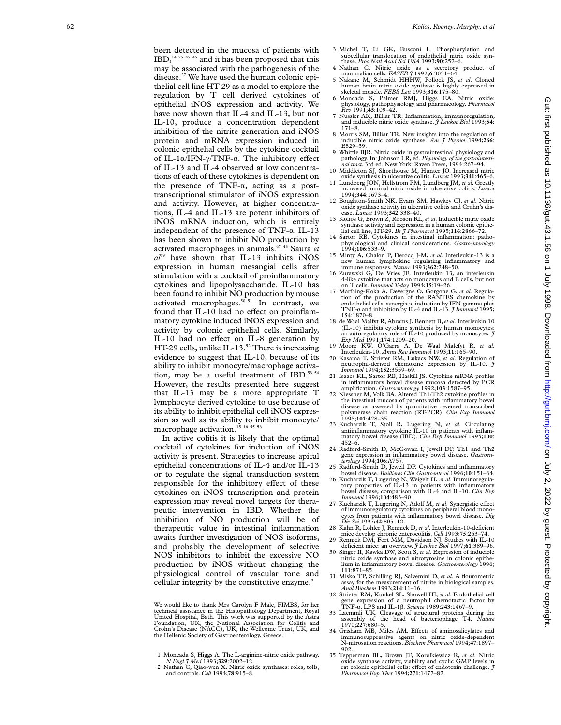been detected in the mucosa of patients with IBD,14 25 45 46 and it has been proposed that this may be associated with the pathogenesis of the disease.27 We have used the human colonic epithelial cell line HT-29 as a model to explore the regulation by T cell derived cytokines of epithelial iNOS expression and activity. We have now shown that IL-4 and IL-13, but not IL-10, produce a concentration dependent inhibition of the nitrite generation and iNOS protein and mRNA expression induced in colonic epithelial cells by the cytokine cocktail of IL-1 $\alpha$ /IFN- $\gamma$ /TNF- $\alpha$ . The inhibitory effect of IL-13 and IL-4 observed at low concentrations of each of these cytokines is dependent on the presence of  $TNF-\alpha$ , acting as a posttranscriptional stimulator of iNOS expression and activity. However, at higher concentrations, IL-4 and IL-13 are potent inhibitors of iNOS mRNA induction, which is entirely independent of the presence of TNF-a. IL-13 has been shown to inhibit NO production by activated macrophages in animals.47 48 Saura *et*  $a<sup>19</sup>$  have shown that IL-13 inhibits iNOS expression in human mesangial cells after stimulation with a cocktail of proinflammatory cytokines and lipopolysaccharide. IL-10 has been found to inhibit NO production by mouse activated macrophages. $50\,51}$  In contrast, we found that IL-10 had no effect on proinflammatory cytokine induced iNOS expression and activity by colonic epithelial cells. Similarly, IL-10 had no effect on IL-8 generation by HT-29 cells, unlike IL-13. $52$  There is increasing evidence to suggest that IL-10, because of its ability to inhibit monocyte/macrophage activation, may be a useful treatment of IBD.<sup>53 54</sup> However, the results presented here suggest that IL-13 may be a more appropriate T lymphocyte derived cytokine to use because of its ability to inhibit epithelial cell iNOS expression as well as its ability to inhibit monocyte/ macrophage activation.<sup>15</sup> <sup>16</sup> <sup>55</sup> <sup>56</sup>

In active colitis it is likely that the optimal cocktail of cytokines for induction of iNOS activity is present. Strategies to increase apical epithelial concentrations of IL-4 and/or IL-13 or to regulate the signal transduction system responsible for the inhibitory effect of these cytokines on iNOS transcription and protein expression may reveal novel targets for therapeutic intervention in IBD. Whether the inhibition of NO production will be of therapeutic value in intestinal inflammation awaits further investigation of NOS isoforms, and probably the development of selective NOS inhibitors to inhibit the excessive NO production by iNOS without changing the physiological control of vascular tone and cellular integrity by the constitutive enzyme.<sup>9</sup>

We would like to thank Mrs Carolyn F Male, FIMBS, for her technical assistance in the Histopathology Department, Royal United Hospital, Bath. This work was supported by the Astra Foundation, UK, the National Association for Colitis and Crohn's Disease (NACC), UK, the Wellcome Trust, UK, and the Hellenic Society of Gastroenterology, Greece.

- 1 Moncada S, Higgs A. The L-arginine-nitric oxide pathway. *N Engl J Med* 1993;**329**:2002–12.
- 2 Nathan C, Qiao-wen X. Nitric oxide synthases: roles, tolls, and controls. *Cell* 1994;**78**:915–8.
- 
- 3 Michel T, Li GK, Busconi L. Phosphorylation and subcellular translocation of endothelial nitric oxide synthase. *Proc Natl Acad Sci USA* 1993;**90**:252–6.
- 4 Nathan C. Nitric oxide as a secretory product of mammalian cells. *FASEB J* 1992; **6**:3051–64. 5 Nakane M, Schmidt HHHW, Pollock JS, *et al*. Cloned
- human brain nitric oxide synthase is highly expressed in skeletal muscle. *FEBS Lett* 1993;**316**:175–80. 6 Moncada S, Palmer RMJ, Higgs EA. Nitric oxide:
- physiology, pathophysiology and pharmacology. *Pharmacol Rev* 1991;**43**:109–42. 7 Nussler AK, Billiar TR. Inflammation, immunoregulation,
- and inducible nitric oxide synthase. *J Leukoc Biol* 1993;**54** : 171–8.
- 8 Morris SM, Billiar TR. New insights into the regulation of inducible nitric oxide synthase. *Am J Physiol* 1994;**266** : E829–39.
- Whittle BJR. Nitric oxide in gastrointestinal physiology and pathology. In: Johnson LR, ed. *Physiology of the gastrointesti-nal tract.* 3rd ed. New York: Raven Press, 1994:267–94. 10 Middleton SJ, Shorthouse M, Hunter JO. Increased nitric
- oxide synthesis in ulcerative colitis. *Lancet* 1993;**341**:465–6. 11 Lundberg JON, Hellstrom PM, Lundberg JM, *et al*. Greatly
- increased luminal nitric oxide in ulcerative colitis. *Lancet* 1994;**344**:1673–4. 12 Boughton-Smith NK, Evans SM, Hawkey CJ, *et al*. Nitric
- oxide synthase activity in ulcerative colitis and Crohn's dis-ease. *Lancet* 1993;**342**:338–40.
- 13 Kolios G, Brown Z, Robson RL, *et al*. Inducible nitric oxide synthase activity and expression in a human colonic epithe-lial cell line, HT-29. *Br J Pharmacol* 1995;**116**:2866–72.
- 14 Sartor RB. Cytokines in intestinal inflammation: pathophysiological and clinical considerations. *Gastroenterology* 1994;**106**:533–9.
- 15 Minty A, Chalon P, Derocq J-M, *et al.* Interleukin-13 is a new human lymphokine regulating inflammatory and immune responses. *Nature* 1993;362:248-50.<br>16 Zurawski G, De Vries JE. Interleukin 13, an interleukin
- 4-like cytokine that acts on monocytes and B cells, but not
- on T cells. *Immunol Today* 1994;**15**:19–26. 17 Marfaing-Koka A, Devergne O, Gorgone G, *et al*. Regula-tion of the production of the RANTES chemokine by endothelial cells: synergistic induction by IFN-gamma plus TNF-á and inhibition by IL-4 and IL-13. *J Immunol* 1995; **154**:1870–8.
- 18 de Waal Malfyt R, Abrams J, Bennett B, *et al*. Interleukin 10 (IL-10) inhibits cytokine synthesis by human monocytes: an autoregulatory role of IL-10 produced by monocytes. *J Exp Med* 1991;**174**:1209–20.
- 19 Moore KW, O'Garra A, De Waal Malefyt R, *et al* . Interleukin-10. *Annu Rev Immunol* 1993;**11**:165–90.
- 20 Kasama T, Strieter RM, Lukacs NW, *et al*. Regulation of neutrophil-derived chemokine expression by IL-10. *J Immunol* 1994;**152**:3559–69.
- 21 Isaacs KL, Sartor RB, Haskill JS. Cytokine mRNA profiles in inflammatory bowel disease mucosa detected by PCR amplification. *Gastroenterology* 1992;**103**:1587–95.
- 22 Niessner M, Volk BA. Altered Th1/Th2 cytokine profiles in the intestinal mucosa of patients with inflammatory bowel disease as assessed by quantitative reversed transcribed polymerase chain reaction (RT-PCR). *Clin Exp Immunol* 1995;**101**:428–35.
- 23 Kucharzik T, Stoll R, Lugering N, *et al*. Circulating antiinflammatory cytokine IL-10 in patients with inflammatory bowel disease (IBD). *Clin Exp Immunol* 1995;**100**: 452–6.
- 24 Radford-Smith D, McGowan I, Jewell DP. Th1 and Th2 gene expression in inflammatory bowel disease. *Gastroen-terology* 1994;**106**:A757.
- 25 Radford-Smith D, Jewell DP. Cytokines and inflammatory
- bowel disease. *Baillieres Clin Gastroenterol* 1996;**10**:151–64. 26 Kucharzik T, Lugering N, Weigelt H, *et al*. Immunoregula-tory properties of IL-13 in patients with inflammatory bowel disease; comparison with IL-4 and IL-10. *Clin Exp Immunol* 1996;**104**:483–90.
- 27 Kucharzik T, Lugering N, Adolf M, *et al*. Synergistic e of immunoregulatory cytokines on peripheral blood monocytes from patients with inflammatory bowel disease. *Dig Dis Sci* 1997;**42**:805–12.
- 28 Kahn R, Lohler J, Rennick D, *et al*. Interleukin-10-deficient mice develop chronic enterocolitis. *Cell* 1993;**75**:263–74.
- 29 Rennick DM, Fort MM, Davidson NJ. Studies with IL-10 deficient mice: an overview. *J Leukoc Biol* 1997;**61**:389–96. 30 Singer II, Kawka DW, Scott S, *et al*. Expression of inducible
- nitric oxide synthase and nitrotyrosine in colonic epithelium in inflammatory bowel disease. *Gastroenterology* 1996; **111**:871–85.
- 31 Misko TP, Schilling RJ, Salvemini D, *et al*. A flourometric assay for the measurement of nitrite in biological samples. *Anal Biochem* 1993;**214**:11–16.
- 32 Strieter RM, Kunkel SL, Showell HJ, *et al*. Endothelial cell gene expression of a neutrophil chemotactic factor by TNF-á, LPS and IL-1 â . *Science* 1989;**243**:1467–9.
- 33 Laemmli UK. Cleavage of structural proteins during the assembly of the head of bacteriophage T4. *Nature* 1970;**227**:680–5.
- 34 Grisham MB, Miles AM. Effects of aminosalicylates and immunosuppressive agents on nitric oxide-dependent N-nitrosation reactions. *Biochem Pharmacol* 1994;**47**:1897–  $902.$
- 35 Tepperman BL, Brown JF, Korolkiewicz R, *et al*. Nitric oxide synthase activity, viability and cyclic GMP levels in rat colonic epithelial cells: effect of endotoxin challenge. *J Pharmacol Exp Ther* 1994;**271**:1477–82.